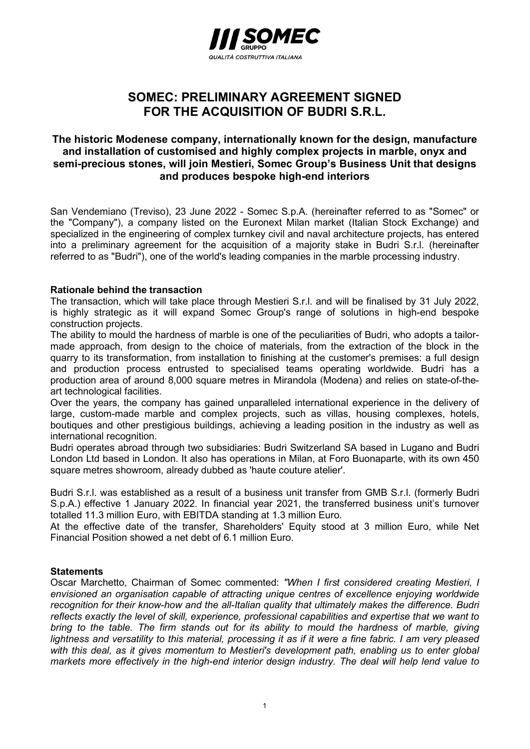

# SOMEC: PRELIMINARY AGREEMENT SIGNED FOR THE ACQUISITION OF BUDRI S.R.L.

## The historic Modenese company, internationally known for the design, manufacture and installation of customised and highly complex projects in marble, onyx and semi-precious stones, will join Mestieri, Somec Group's Business Unit that designs and produces bespoke high-end interiors

San Vendemiano (Treviso), 23 June 2022 - Somec S.p.A. (hereinafter referred to as "Somec" or the "Company"), a company listed on the Euronext Milan market (Italian Stock Exchange) and specialized in the engineering of complex turnkey civil and naval architecture projects, has entered into a preliminary agreement for the acquisition of a majority stake in Budri S.r.l. (hereinafter referred to as "Budri"), one of the world's leading companies in the marble processing industry.

### Rationale behind the transaction

The transaction, which will take place through Mestieri S.r.l. and will be finalised by 31 July 2022, is highly strategic as it will expand Somec Group's range of solutions in high-end bespoke construction projects.

The ability to mould the hardness of marble is one of the peculiarities of Budri, who adopts a tailormade approach, from design to the choice of materials, from the extraction of the block in the quarry to its transformation, from installation to finishing at the customer's premises: a full design and production process entrusted to specialised teams operating worldwide. Budri has a production area of around 8,000 square metres in Mirandola (Modena) and relies on state-of-theart technological facilities.

Over the years, the company has gained unparalleled international experience in the delivery of large, custom-made marble and complex projects, such as villas, housing complexes, hotels, boutiques and other prestigious buildings, achieving a leading position in the industry as well as international recognition.

Budri operates abroad through two subsidiaries: Budri Switzerland SA based in Lugano and Budri London Ltd based in London. It also has operations in Milan, at Foro Buonaparte, with its own 450 square metres showroom, already dubbed as 'haute couture atelier'.

Budri S.r.l. was established as a result of a business unit transfer from GMB S.r.l. (formerly Budri S.p.A.) effective 1 January 2022. In financial year 2021, the transferred business unit's turnover totalled 11.3 million Euro, with EBITDA standing at 1.3 million Euro.

At the effective date of the transfer, Shareholders' Equity stood at 3 million Euro, while Net Financial Position showed a net debt of 6.1 million Euro.

#### **Statements**

Oscar Marchetto, Chairman of Somec commented: "When I first considered creating Mestieri, I envisioned an organisation capable of attracting unique centres of excellence enjoying worldwide recognition for their know-how and the all-Italian quality that ultimately makes the difference. Budri reflects exactly the level of skill, experience, professional capabilities and expertise that we want to bring to the table. The firm stands out for its ability to mould the hardness of marble, giving lightness and versatility to this material, processing it as if it were a fine fabric. I am very pleased with this deal, as it gives momentum to Mestieri's development path, enabling us to enter global markets more effectively in the high-end interior design industry. The deal will help lend value to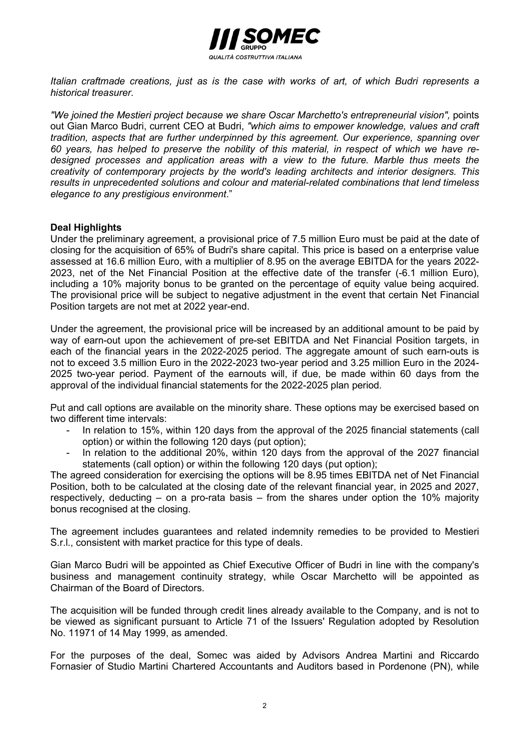

Italian craftmade creations, just as is the case with works of art, of which Budri represents a historical treasurer.

"We joined the Mestieri project because we share Oscar Marchetto's entrepreneurial vision", points out Gian Marco Budri, current CEO at Budri, "which aims to empower knowledge, values and craft tradition, aspects that are further underpinned by this agreement. Our experience, spanning over 60 years, has helped to preserve the nobility of this material, in respect of which we have redesigned processes and application areas with a view to the future. Marble thus meets the creativity of contemporary projects by the world's leading architects and interior designers. This results in unprecedented solutions and colour and material-related combinations that lend timeless elegance to any prestigious environment."

### Deal Highlights

Under the preliminary agreement, a provisional price of 7.5 million Euro must be paid at the date of closing for the acquisition of 65% of Budri's share capital. This price is based on a enterprise value assessed at 16.6 million Euro, with a multiplier of 8.95 on the average EBITDA for the years 2022- 2023, net of the Net Financial Position at the effective date of the transfer (-6.1 million Euro), including a 10% majority bonus to be granted on the percentage of equity value being acquired. The provisional price will be subject to negative adjustment in the event that certain Net Financial Position targets are not met at 2022 year-end.

Under the agreement, the provisional price will be increased by an additional amount to be paid by way of earn-out upon the achievement of pre-set EBITDA and Net Financial Position targets, in each of the financial years in the 2022-2025 period. The aggregate amount of such earn-outs is not to exceed 3.5 million Euro in the 2022-2023 two-year period and 3.25 million Euro in the 2024- 2025 two-year period. Payment of the earnouts will, if due, be made within 60 days from the approval of the individual financial statements for the 2022-2025 plan period.

Put and call options are available on the minority share. These options may be exercised based on two different time intervals:

- In relation to 15%, within 120 days from the approval of the 2025 financial statements (call option) or within the following 120 days (put option);
- In relation to the additional 20%, within 120 days from the approval of the 2027 financial statements (call option) or within the following 120 days (put option);

The agreed consideration for exercising the options will be 8.95 times EBITDA net of Net Financial Position, both to be calculated at the closing date of the relevant financial year, in 2025 and 2027, respectively, deducting – on a pro-rata basis – from the shares under option the 10% majority bonus recognised at the closing.

The agreement includes guarantees and related indemnity remedies to be provided to Mestieri S.r.l., consistent with market practice for this type of deals.

Gian Marco Budri will be appointed as Chief Executive Officer of Budri in line with the company's business and management continuity strategy, while Oscar Marchetto will be appointed as Chairman of the Board of Directors.

The acquisition will be funded through credit lines already available to the Company, and is not to be viewed as significant pursuant to Article 71 of the Issuers' Regulation adopted by Resolution No. 11971 of 14 May 1999, as amended.

For the purposes of the deal, Somec was aided by Advisors Andrea Martini and Riccardo Fornasier of Studio Martini Chartered Accountants and Auditors based in Pordenone (PN), while